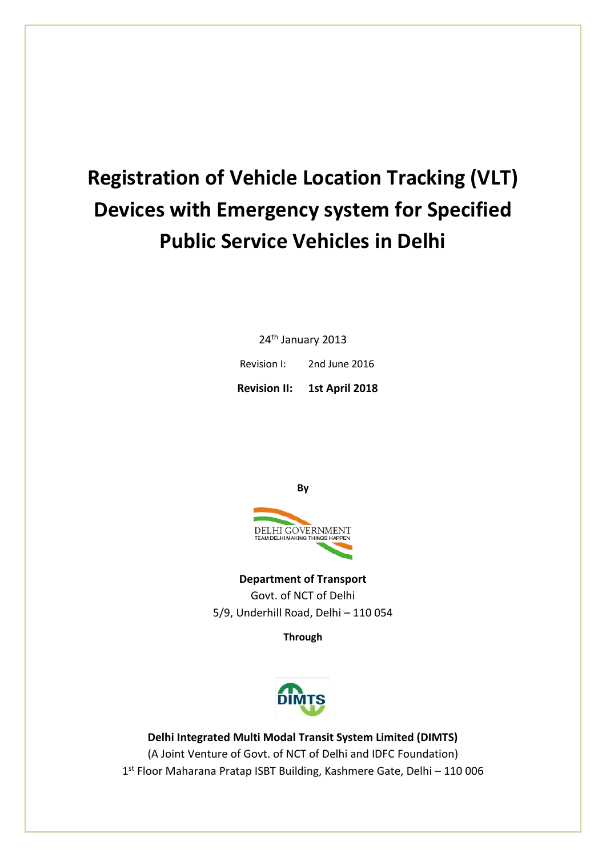# **Registration of Vehicle Location Tracking (VLT) Devices with Emergency system for Specified Public Service Vehicles in Delhi**

24<sup>th</sup> January 2013

Revision I: 2nd June 2016

**Revision II: 1st April 2018**

**By**



**Department of Transport** Govt. of NCT of Delhi 5/9, Underhill Road, Delhi – 110 054

**Through**



**Delhi Integrated Multi Modal Transit System Limited (DIMTS)** (A Joint Venture of Govt. of NCT of Delhi and IDFC Foundation) 1 st Floor Maharana Pratap ISBT Building, Kashmere Gate, Delhi – 110 006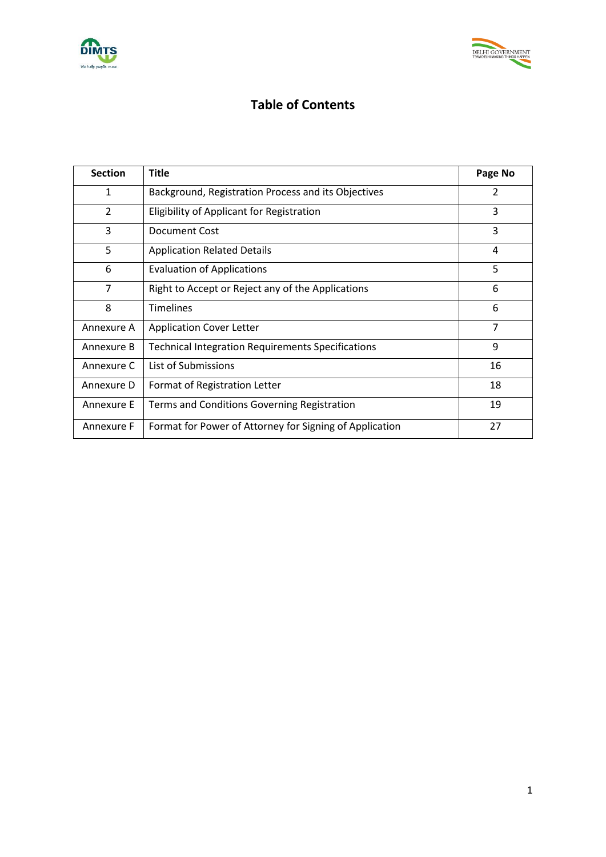



# **Table of Contents**

| <b>Section</b> | <b>Title</b>                                             | Page No        |
|----------------|----------------------------------------------------------|----------------|
| 1              | Background, Registration Process and its Objectives      | 2              |
| $\overline{2}$ | Eligibility of Applicant for Registration                | 3              |
| 3              | Document Cost                                            | 3              |
| 5              | <b>Application Related Details</b>                       | 4              |
| 6              | <b>Evaluation of Applications</b>                        | 5              |
| $\overline{7}$ | Right to Accept or Reject any of the Applications        | 6              |
| 8              | <b>Timelines</b>                                         | 6              |
| Annexure A     | <b>Application Cover Letter</b>                          | $\overline{7}$ |
| Annexure B     | <b>Technical Integration Requirements Specifications</b> | 9              |
| Annexure C     | List of Submissions                                      | 16             |
| Annexure D     | Format of Registration Letter                            | 18             |
| Annexure E     | Terms and Conditions Governing Registration              | 19             |
| Annexure F     | Format for Power of Attorney for Signing of Application  | 27             |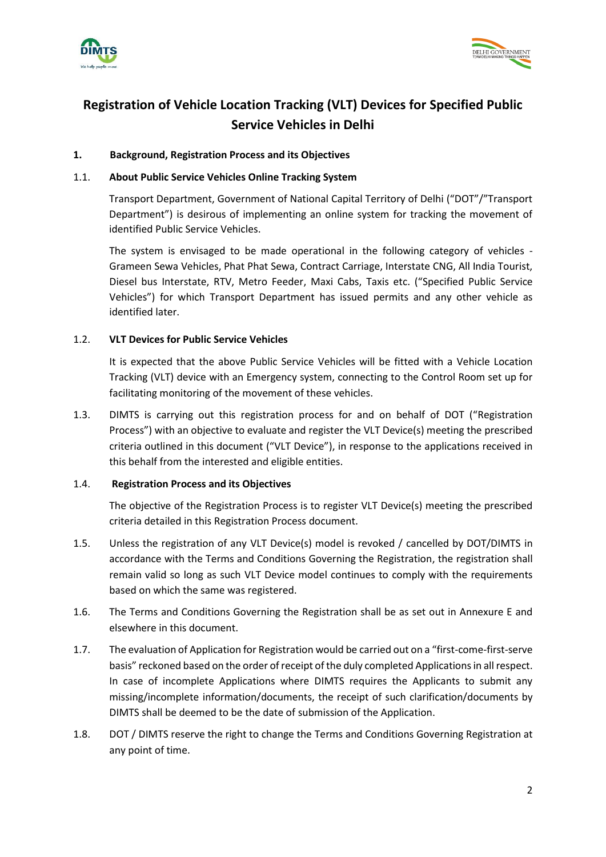



# **Registration of Vehicle Location Tracking (VLT) Devices for Specified Public Service Vehicles in Delhi**

# **1. Background, Registration Process and its Objectives**

#### 1.1. **About Public Service Vehicles Online Tracking System**

Transport Department, Government of National Capital Territory of Delhi ("DOT"/"Transport Department") is desirous of implementing an online system for tracking the movement of identified Public Service Vehicles.

The system is envisaged to be made operational in the following category of vehicles - Grameen Sewa Vehicles, Phat Phat Sewa, Contract Carriage, Interstate CNG, All India Tourist, Diesel bus Interstate, RTV, Metro Feeder, Maxi Cabs, Taxis etc. ("Specified Public Service Vehicles") for which Transport Department has issued permits and any other vehicle as identified later.

#### 1.2. **VLT Devices for Public Service Vehicles**

It is expected that the above Public Service Vehicles will be fitted with a Vehicle Location Tracking (VLT) device with an Emergency system, connecting to the Control Room set up for facilitating monitoring of the movement of these vehicles.

1.3. DIMTS is carrying out this registration process for and on behalf of DOT ("Registration Process") with an objective to evaluate and register the VLT Device(s) meeting the prescribed criteria outlined in this document ("VLT Device"), in response to the applications received in this behalf from the interested and eligible entities.

# 1.4. **Registration Process and its Objectives**

The objective of the Registration Process is to register VLT Device(s) meeting the prescribed criteria detailed in this Registration Process document.

- 1.5. Unless the registration of any VLT Device(s) model is revoked / cancelled by DOT/DIMTS in accordance with the Terms and Conditions Governing the Registration, the registration shall remain valid so long as such VLT Device model continues to comply with the requirements based on which the same was registered.
- 1.6. The Terms and Conditions Governing the Registration shall be as set out in Annexure E and elsewhere in this document.
- 1.7. The evaluation of Application for Registration would be carried out on a "first-come-first-serve basis" reckoned based on the order of receipt of the duly completed Applications in all respect. In case of incomplete Applications where DIMTS requires the Applicants to submit any missing/incomplete information/documents, the receipt of such clarification/documents by DIMTS shall be deemed to be the date of submission of the Application.
- 1.8. DOT / DIMTS reserve the right to change the Terms and Conditions Governing Registration at any point of time.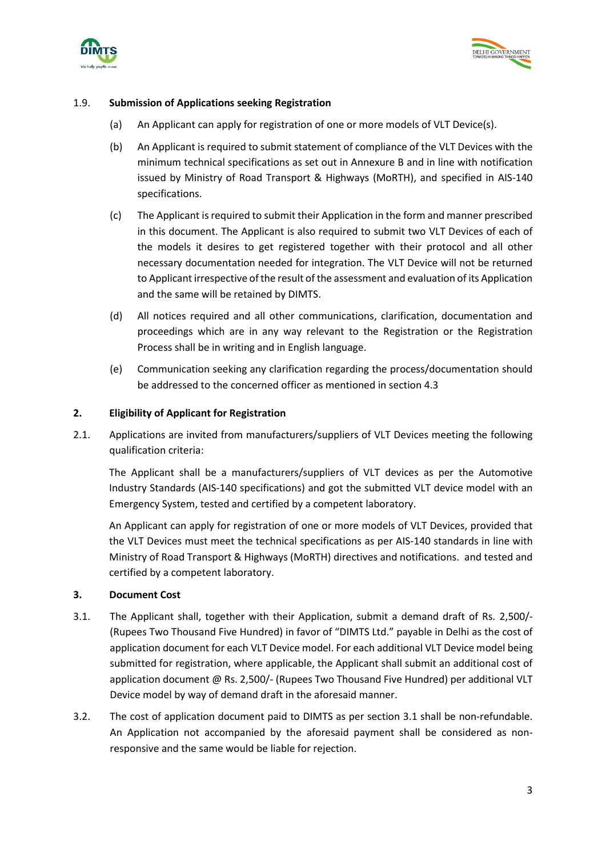



#### 1.9. **Submission of Applications seeking Registration**

- (a) An Applicant can apply for registration of one or more models of VLT Device(s).
- (b) An Applicant is required to submit statement of compliance of the VLT Devices with the minimum technical specifications as set out in Annexure B and in line with notification issued by Ministry of Road Transport & Highways (MoRTH), and specified in AIS-140 specifications.
- (c) The Applicant is required to submit their Application in the form and manner prescribed in this document. The Applicant is also required to submit two VLT Devices of each of the models it desires to get registered together with their protocol and all other necessary documentation needed for integration. The VLT Device will not be returned to Applicant irrespective of the result of the assessment and evaluation of its Application and the same will be retained by DIMTS.
- (d) All notices required and all other communications, clarification, documentation and proceedings which are in any way relevant to the Registration or the Registration Process shall be in writing and in English language.
- (e) Communication seeking any clarification regarding the process/documentation should be addressed to the concerned officer as mentioned in section 4.3

#### **2. Eligibility of Applicant for Registration**

2.1. Applications are invited from manufacturers/suppliers of VLT Devices meeting the following qualification criteria:

The Applicant shall be a manufacturers/suppliers of VLT devices as per the Automotive Industry Standards (AIS-140 specifications) and got the submitted VLT device model with an Emergency System, tested and certified by a competent laboratory.

An Applicant can apply for registration of one or more models of VLT Devices, provided that the VLT Devices must meet the technical specifications as per AIS-140 standards in line with Ministry of Road Transport & Highways (MoRTH) directives and notifications. and tested and certified by a competent laboratory.

#### **3. Document Cost**

- 3.1. The Applicant shall, together with their Application, submit a demand draft of Rs. 2,500/- (Rupees Two Thousand Five Hundred) in favor of "DIMTS Ltd." payable in Delhi as the cost of application document for each VLT Device model. For each additional VLT Device model being submitted for registration, where applicable, the Applicant shall submit an additional cost of application document @ Rs. 2,500/- (Rupees Two Thousand Five Hundred) per additional VLT Device model by way of demand draft in the aforesaid manner.
- 3.2. The cost of application document paid to DIMTS as per section 3.1 shall be non-refundable. An Application not accompanied by the aforesaid payment shall be considered as nonresponsive and the same would be liable for rejection.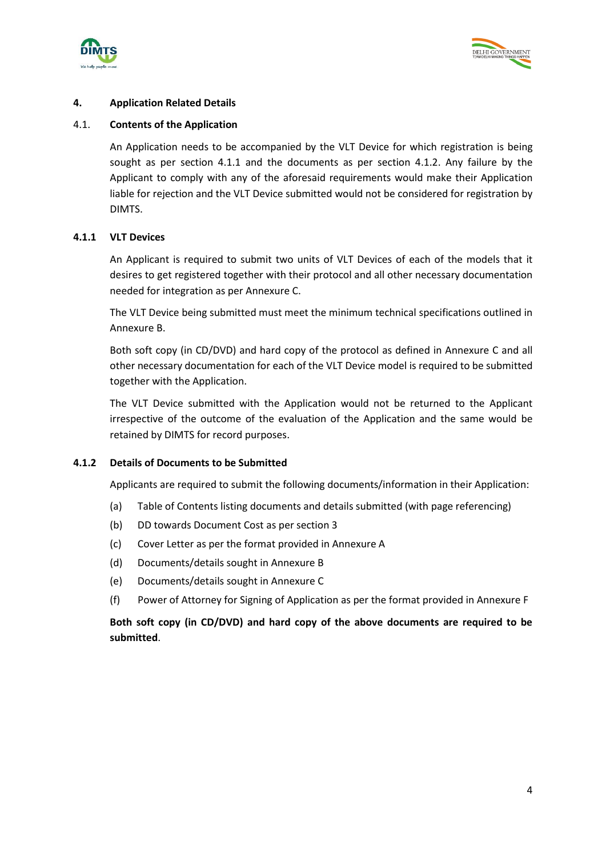



# **4. Application Related Details**

#### 4.1. **Contents of the Application**

An Application needs to be accompanied by the VLT Device for which registration is being sought as per section 4.1.1 and the documents as per section 4.1.2. Any failure by the Applicant to comply with any of the aforesaid requirements would make their Application liable for rejection and the VLT Device submitted would not be considered for registration by DIMTS.

#### **4.1.1 VLT Devices**

An Applicant is required to submit two units of VLT Devices of each of the models that it desires to get registered together with their protocol and all other necessary documentation needed for integration as per Annexure C.

The VLT Device being submitted must meet the minimum technical specifications outlined in Annexure B.

Both soft copy (in CD/DVD) and hard copy of the protocol as defined in Annexure C and all other necessary documentation for each of the VLT Device model is required to be submitted together with the Application.

The VLT Device submitted with the Application would not be returned to the Applicant irrespective of the outcome of the evaluation of the Application and the same would be retained by DIMTS for record purposes.

#### **4.1.2 Details of Documents to be Submitted**

Applicants are required to submit the following documents/information in their Application:

- (a) Table of Contents listing documents and details submitted (with page referencing)
- (b) DD towards Document Cost as per section 3
- (c) Cover Letter as per the format provided in Annexure A
- (d) Documents/details sought in Annexure B
- (e) Documents/details sought in Annexure C
- (f) Power of Attorney for Signing of Application as per the format provided in Annexure F

**Both soft copy (in CD/DVD) and hard copy of the above documents are required to be submitted**.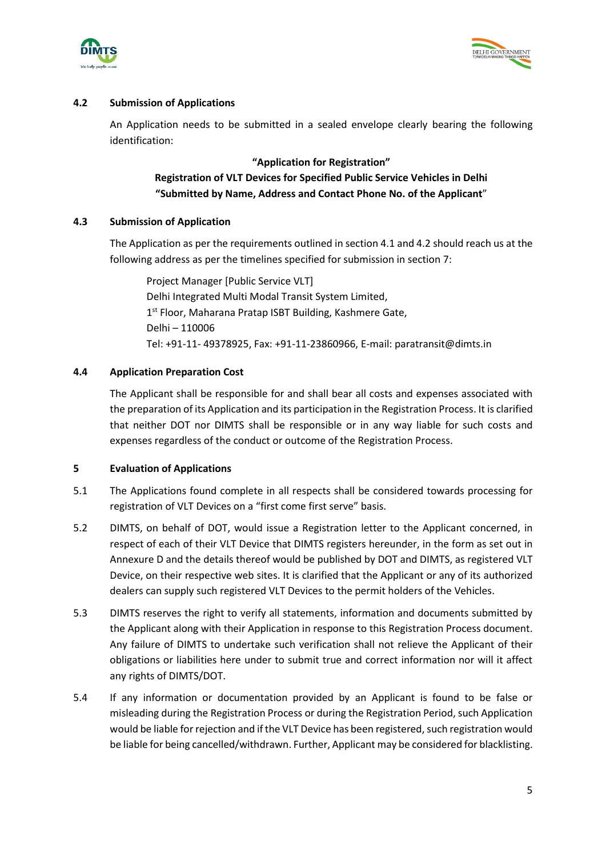



# **4.2 Submission of Applications**

An Application needs to be submitted in a sealed envelope clearly bearing the following identification:

#### **"Application for Registration"**

# **Registration of VLT Devices for Specified Public Service Vehicles in Delhi "Submitted by Name, Address and Contact Phone No. of the Applicant**"

#### **4.3 Submission of Application**

The Application as per the requirements outlined in section 4.1 and 4.2 should reach us at the following address as per the timelines specified for submission in section 7:

Project Manager [Public Service VLT] Delhi Integrated Multi Modal Transit System Limited, 1<sup>st</sup> Floor, Maharana Pratap ISBT Building, Kashmere Gate, Delhi – 110006 Tel: +91-11- 49378925, Fax: +91-11-23860966, E-mail: paratransit@dimts.in

#### **4.4 Application Preparation Cost**

The Applicant shall be responsible for and shall bear all costs and expenses associated with the preparation of its Application and its participation in the Registration Process. It is clarified that neither DOT nor DIMTS shall be responsible or in any way liable for such costs and expenses regardless of the conduct or outcome of the Registration Process.

#### **5 Evaluation of Applications**

- 5.1 The Applications found complete in all respects shall be considered towards processing for registration of VLT Devices on a "first come first serve" basis.
- 5.2 DIMTS, on behalf of DOT, would issue a Registration letter to the Applicant concerned, in respect of each of their VLT Device that DIMTS registers hereunder, in the form as set out in Annexure D and the details thereof would be published by DOT and DIMTS, as registered VLT Device, on their respective web sites. It is clarified that the Applicant or any of its authorized dealers can supply such registered VLT Devices to the permit holders of the Vehicles.
- 5.3 DIMTS reserves the right to verify all statements, information and documents submitted by the Applicant along with their Application in response to this Registration Process document. Any failure of DIMTS to undertake such verification shall not relieve the Applicant of their obligations or liabilities here under to submit true and correct information nor will it affect any rights of DIMTS/DOT.
- 5.4 If any information or documentation provided by an Applicant is found to be false or misleading during the Registration Process or during the Registration Period, such Application would be liable for rejection and if the VLT Device has been registered, such registration would be liable for being cancelled/withdrawn. Further, Applicant may be considered for blacklisting.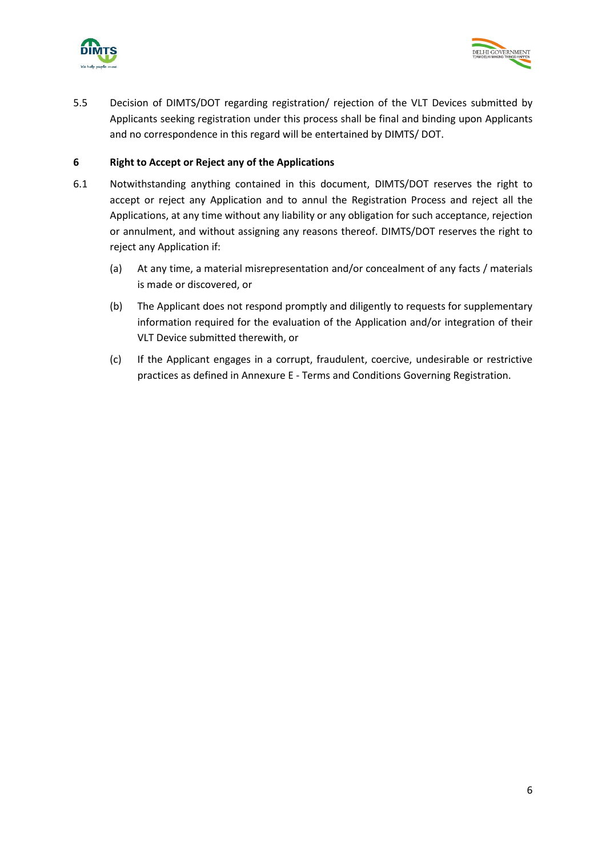



5.5 Decision of DIMTS/DOT regarding registration/ rejection of the VLT Devices submitted by Applicants seeking registration under this process shall be final and binding upon Applicants and no correspondence in this regard will be entertained by DIMTS/ DOT.

#### **6 Right to Accept or Reject any of the Applications**

- 6.1 Notwithstanding anything contained in this document, DIMTS/DOT reserves the right to accept or reject any Application and to annul the Registration Process and reject all the Applications, at any time without any liability or any obligation for such acceptance, rejection or annulment, and without assigning any reasons thereof. DIMTS/DOT reserves the right to reject any Application if:
	- (a) At any time, a material misrepresentation and/or concealment of any facts / materials is made or discovered, or
	- (b) The Applicant does not respond promptly and diligently to requests for supplementary information required for the evaluation of the Application and/or integration of their VLT Device submitted therewith, or
	- (c) If the Applicant engages in a corrupt, fraudulent, coercive, undesirable or restrictive practices as defined in Annexure E - Terms and Conditions Governing Registration.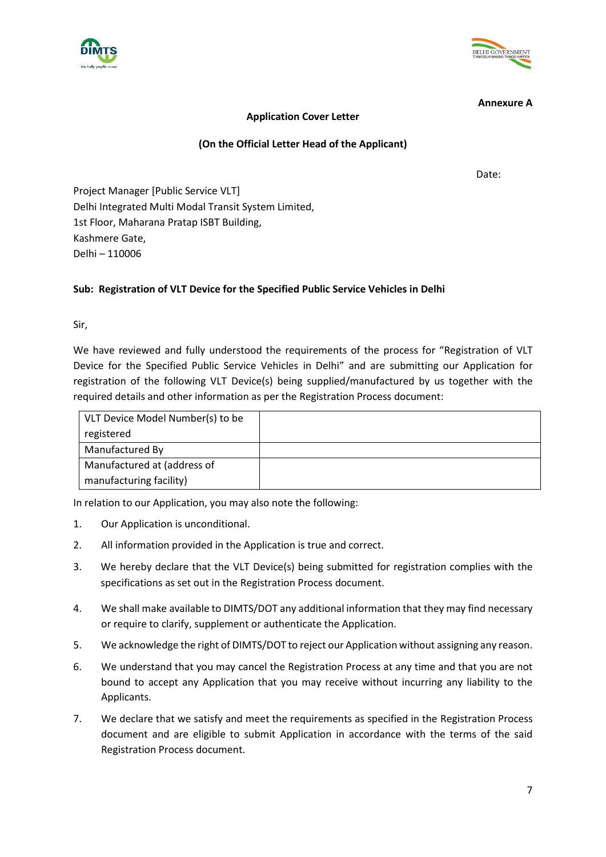



**Annexure A**

# **Application Cover Letter**

# **(On the Official Letter Head of the Applicant)**

Date:

Project Manager [Public Service VLT] Delhi Integrated Multi Modal Transit System Limited, 1st Floor, Maharana Pratap ISBT Building, Kashmere Gate, Delhi – 110006

# **Sub: Registration of VLT Device for the Specified Public Service Vehicles in Delhi**

Sir,

We have reviewed and fully understood the requirements of the process for "Registration of VLT Device for the Specified Public Service Vehicles in Delhi" and are submitting our Application for registration of the following VLT Device(s) being supplied/manufactured by us together with the required details and other information as per the Registration Process document:

| VLT Device Model Number(s) to be |  |
|----------------------------------|--|
| registered                       |  |
| Manufactured By                  |  |
| Manufactured at (address of      |  |
| manufacturing facility)          |  |

In relation to our Application, you may also note the following:

- 1. Our Application is unconditional.
- 2. All information provided in the Application is true and correct.
- 3. We hereby declare that the VLT Device(s) being submitted for registration complies with the specifications as set out in the Registration Process document.
- 4. We shall make available to DIMTS/DOT any additional information that they may find necessary or require to clarify, supplement or authenticate the Application.
- 5. We acknowledge the right of DIMTS/DOT to reject our Application without assigning any reason.
- 6. We understand that you may cancel the Registration Process at any time and that you are not bound to accept any Application that you may receive without incurring any liability to the Applicants.
- 7. We declare that we satisfy and meet the requirements as specified in the Registration Process document and are eligible to submit Application in accordance with the terms of the said Registration Process document.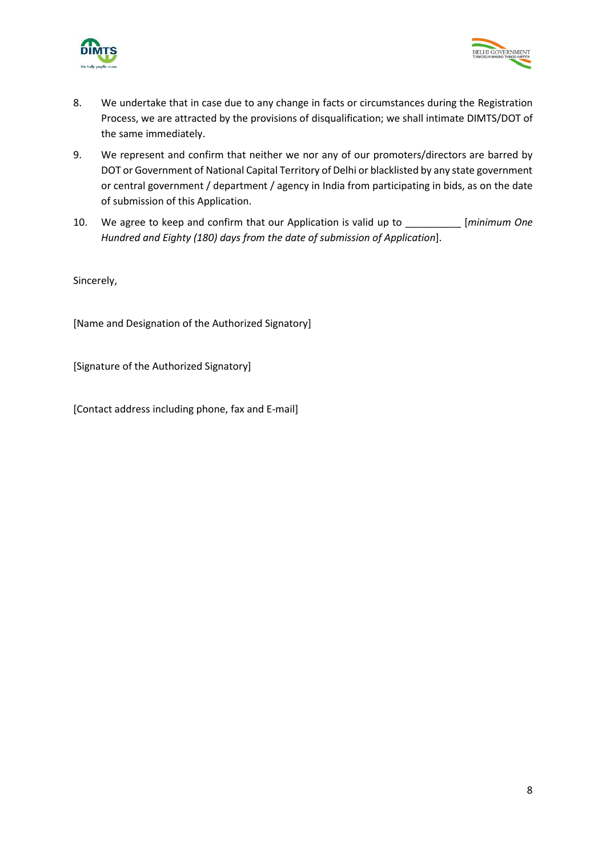



- 8. We undertake that in case due to any change in facts or circumstances during the Registration Process, we are attracted by the provisions of disqualification; we shall intimate DIMTS/DOT of the same immediately.
- 9. We represent and confirm that neither we nor any of our promoters/directors are barred by DOT or Government of National Capital Territory of Delhi or blacklisted by any state government or central government / department / agency in India from participating in bids, as on the date of submission of this Application.
- 10. We agree to keep and confirm that our Application is valid up to \_\_\_\_\_\_\_\_\_\_ [*minimum One Hundred and Eighty (180) days from the date of submission of Application*].

Sincerely,

[Name and Designation of the Authorized Signatory]

[Signature of the Authorized Signatory]

[Contact address including phone, fax and E-mail]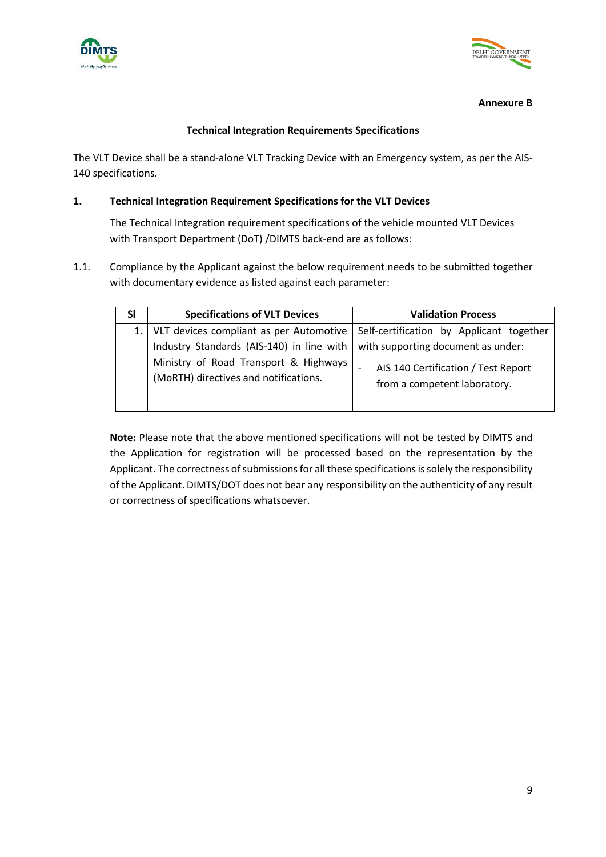



#### **Annexure B**

#### **Technical Integration Requirements Specifications**

The VLT Device shall be a stand-alone VLT Tracking Device with an Emergency system, as per the AIS-140 specifications.

#### **1. Technical Integration Requirement Specifications for the VLT Devices**

The Technical Integration requirement specifications of the vehicle mounted VLT Devices with Transport Department (DoT) /DIMTS back-end are as follows:

1.1. Compliance by the Applicant against the below requirement needs to be submitted together with documentary evidence as listed against each parameter:

| SI | <b>Specifications of VLT Devices</b>                                           | <b>Validation Process</b>                                           |
|----|--------------------------------------------------------------------------------|---------------------------------------------------------------------|
|    | 1.   VLT devices compliant as per Automotive                                   | Self-certification by Applicant together                            |
|    | Industry Standards (AIS-140) in line with                                      | with supporting document as under:                                  |
|    | Ministry of Road Transport & Highways<br>(MoRTH) directives and notifications. | AIS 140 Certification / Test Report<br>from a competent laboratory. |

**Note:** Please note that the above mentioned specifications will not be tested by DIMTS and the Application for registration will be processed based on the representation by the Applicant. The correctness of submissions for all these specifications is solely the responsibility of the Applicant. DIMTS/DOT does not bear any responsibility on the authenticity of any result or correctness of specifications whatsoever.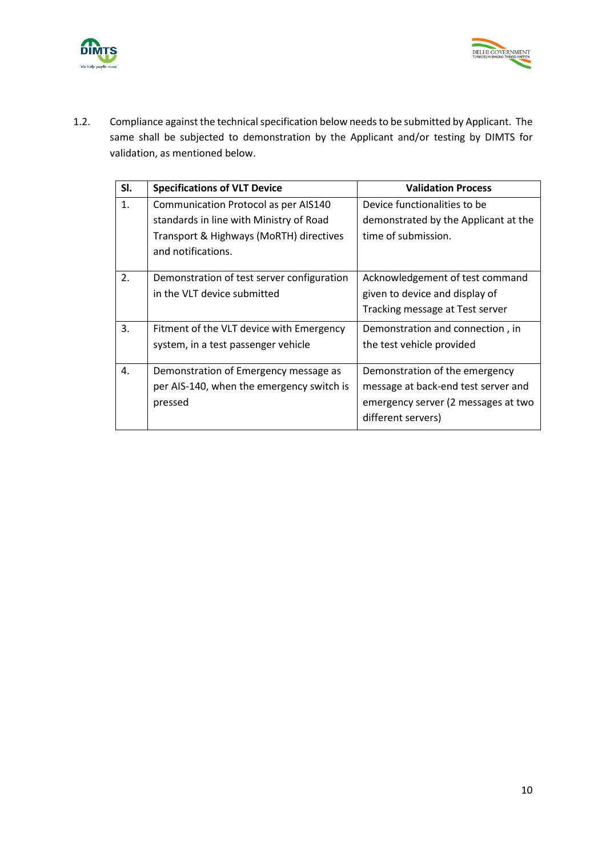



1.2. Compliance against the technical specification below needs to be submitted by Applicant. The same shall be subjected to demonstration by the Applicant and/or testing by DIMTS for validation, as mentioned below.

| SI. | <b>Specifications of VLT Device</b>        | <b>Validation Process</b>            |
|-----|--------------------------------------------|--------------------------------------|
| 1.  | Communication Protocol as per AIS140       | Device functionalities to be         |
|     | standards in line with Ministry of Road    | demonstrated by the Applicant at the |
|     | Transport & Highways (MoRTH) directives    | time of submission.                  |
|     | and notifications.                         |                                      |
|     |                                            |                                      |
| 2.  | Demonstration of test server configuration | Acknowledgement of test command      |
|     | in the VLT device submitted                | given to device and display of       |
|     |                                            | Tracking message at Test server      |
| 3.  | Fitment of the VLT device with Emergency   | Demonstration and connection, in     |
|     | system, in a test passenger vehicle        | the test vehicle provided            |
|     |                                            |                                      |
| 4.  | Demonstration of Emergency message as      | Demonstration of the emergency       |
|     | per AIS-140, when the emergency switch is  | message at back-end test server and  |
|     | pressed                                    | emergency server (2 messages at two  |
|     |                                            | different servers)                   |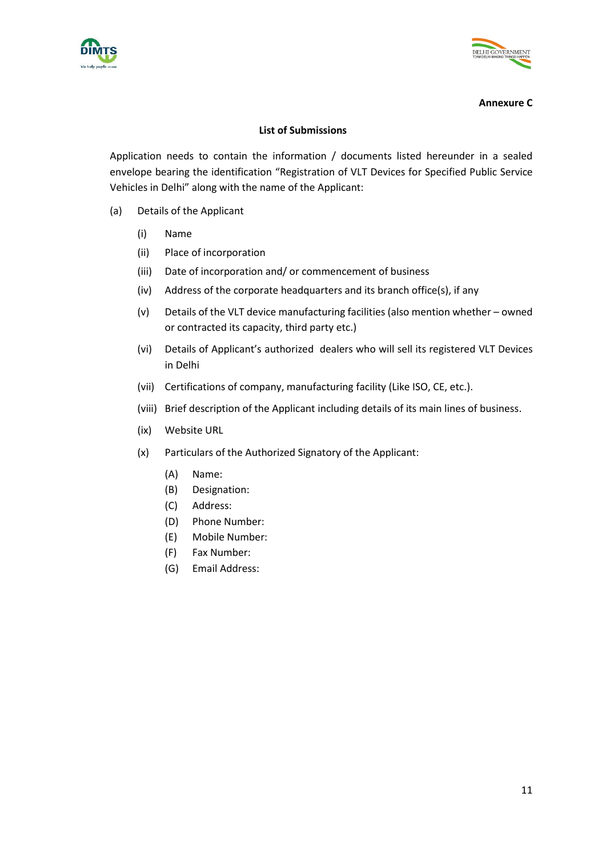



#### **Annexure C**

#### **List of Submissions**

Application needs to contain the information / documents listed hereunder in a sealed envelope bearing the identification "Registration of VLT Devices for Specified Public Service Vehicles in Delhi" along with the name of the Applicant:

- (a) Details of the Applicant
	- (i) Name
	- (ii) Place of incorporation
	- (iii) Date of incorporation and/ or commencement of business
	- (iv) Address of the corporate headquarters and its branch office(s), if any
	- (v) Details of the VLT device manufacturing facilities (also mention whether owned or contracted its capacity, third party etc.)
	- (vi) Details of Applicant's authorized dealers who will sell its registered VLT Devices in Delhi
	- (vii) Certifications of company, manufacturing facility (Like ISO, CE, etc.).
	- (viii) Brief description of the Applicant including details of its main lines of business.
	- (ix) Website URL
	- (x) Particulars of the Authorized Signatory of the Applicant:
		- (A) Name:
		- (B) Designation:
		- (C) Address:
		- (D) Phone Number:
		- (E) Mobile Number:
		- (F) Fax Number:
		- (G) Email Address: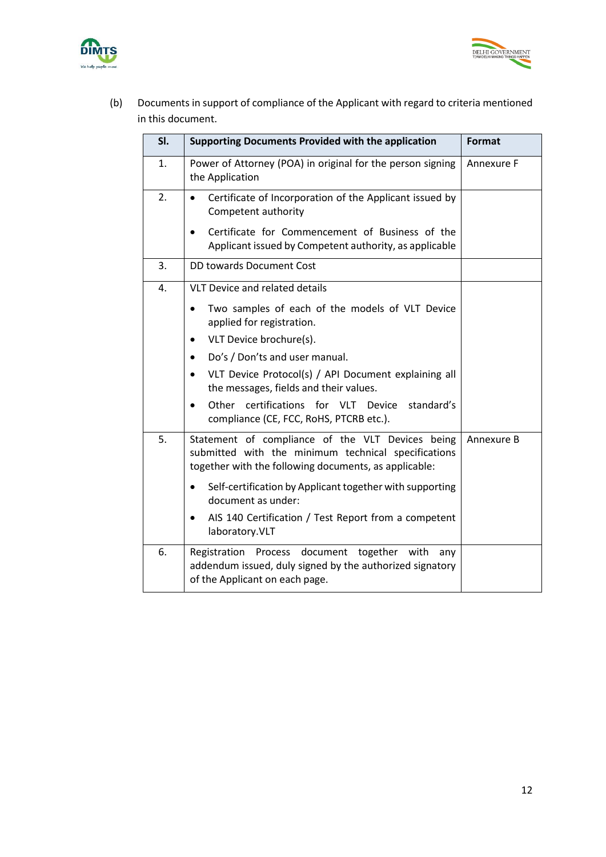



(b) Documents in support of compliance of the Applicant with regard to criteria mentioned in this document.

| SI. | <b>Supporting Documents Provided with the application</b>                                                                                                                      | <b>Format</b> |
|-----|--------------------------------------------------------------------------------------------------------------------------------------------------------------------------------|---------------|
| 1.  | Power of Attorney (POA) in original for the person signing<br>the Application                                                                                                  | Annexure F    |
| 2.  | Certificate of Incorporation of the Applicant issued by<br>$\bullet$<br>Competent authority                                                                                    |               |
|     | Certificate for Commencement of Business of the<br>Applicant issued by Competent authority, as applicable                                                                      |               |
| 3.  | <b>DD towards Document Cost</b>                                                                                                                                                |               |
| 4.  | <b>VLT Device and related details</b>                                                                                                                                          |               |
|     | Two samples of each of the models of VLT Device<br>$\bullet$<br>applied for registration.                                                                                      |               |
|     | VLT Device brochure(s).<br>$\bullet$                                                                                                                                           |               |
|     | Do's / Don'ts and user manual.<br>٠                                                                                                                                            |               |
|     | VLT Device Protocol(s) / API Document explaining all<br>$\bullet$<br>the messages, fields and their values.                                                                    |               |
|     | Other<br>certifications for VLT Device<br>standard's<br>compliance (CE, FCC, RoHS, PTCRB etc.).                                                                                |               |
| 5.  | Statement of compliance of the VLT Devices being<br>Annexure B<br>submitted with the minimum technical specifications<br>together with the following documents, as applicable: |               |
|     | Self-certification by Applicant together with supporting<br>document as under:                                                                                                 |               |
|     | AIS 140 Certification / Test Report from a competent<br>laboratory.VLT                                                                                                         |               |
| 6.  | Registration Process document together<br>with<br>any<br>addendum issued, duly signed by the authorized signatory<br>of the Applicant on each page.                            |               |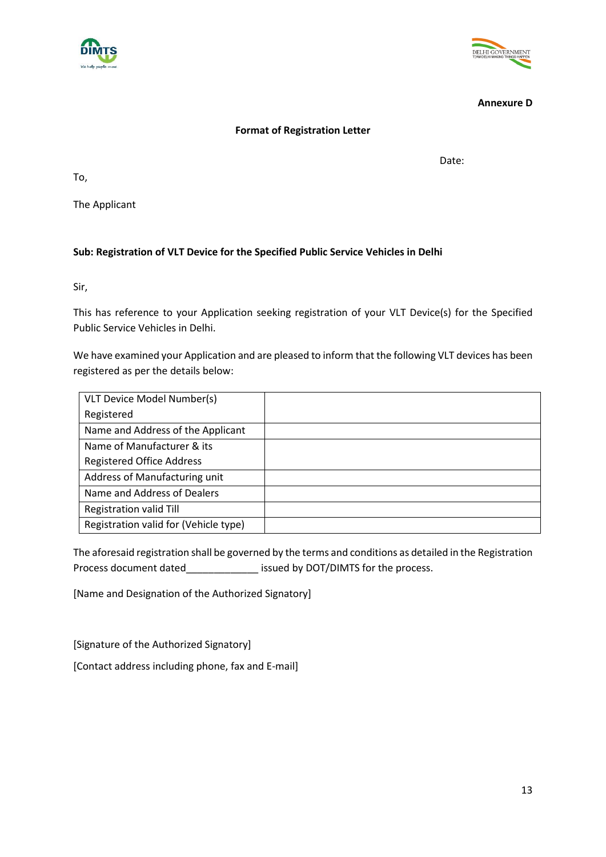#### **Annexure D**

DELHI GOVERNMENT

#### **Format of Registration Letter**

Date:

To,

The Applicant

# **Sub: Registration of VLT Device for the Specified Public Service Vehicles in Delhi**

Sir,

This has reference to your Application seeking registration of your VLT Device(s) for the Specified Public Service Vehicles in Delhi.

We have examined your Application and are pleased to inform that the following VLT devices has been registered as per the details below:

| VLT Device Model Number(s)            |  |
|---------------------------------------|--|
| Registered                            |  |
| Name and Address of the Applicant     |  |
| Name of Manufacturer & its            |  |
| <b>Registered Office Address</b>      |  |
| Address of Manufacturing unit         |  |
| Name and Address of Dealers           |  |
| <b>Registration valid Till</b>        |  |
| Registration valid for (Vehicle type) |  |

The aforesaid registration shall be governed by the terms and conditions as detailed in the Registration Process document dated\_\_\_\_\_\_\_\_\_\_\_\_\_\_\_ issued by DOT/DIMTS for the process.

[Name and Designation of the Authorized Signatory]

[Signature of the Authorized Signatory]

[Contact address including phone, fax and E-mail]

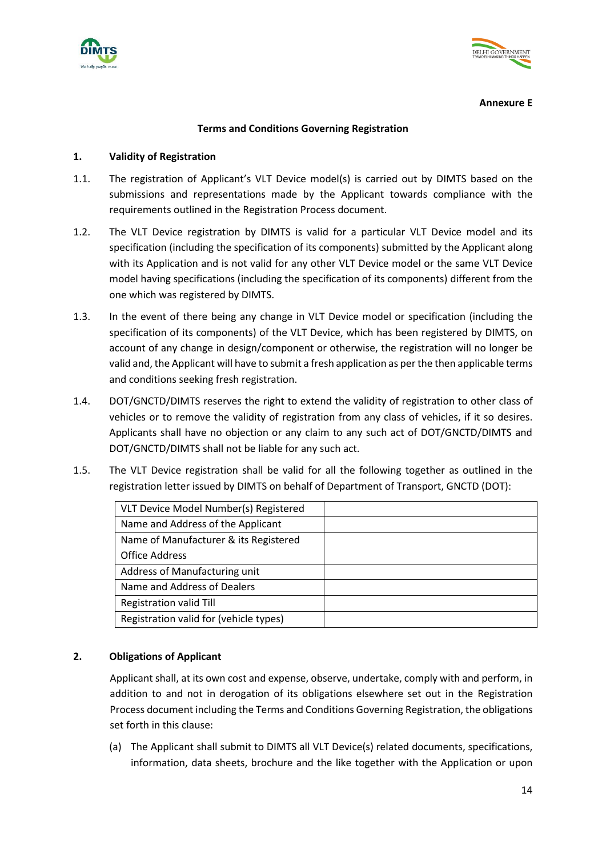



**Annexure E**

#### **Terms and Conditions Governing Registration**

#### **1. Validity of Registration**

- 1.1. The registration of Applicant's VLT Device model(s) is carried out by DIMTS based on the submissions and representations made by the Applicant towards compliance with the requirements outlined in the Registration Process document.
- 1.2. The VLT Device registration by DIMTS is valid for a particular VLT Device model and its specification (including the specification of its components) submitted by the Applicant along with its Application and is not valid for any other VLT Device model or the same VLT Device model having specifications (including the specification of its components) different from the one which was registered by DIMTS.
- 1.3. In the event of there being any change in VLT Device model or specification (including the specification of its components) of the VLT Device, which has been registered by DIMTS, on account of any change in design/component or otherwise, the registration will no longer be valid and, the Applicant will have to submit a fresh application as per the then applicable terms and conditions seeking fresh registration.
- 1.4. DOT/GNCTD/DIMTS reserves the right to extend the validity of registration to other class of vehicles or to remove the validity of registration from any class of vehicles, if it so desires. Applicants shall have no objection or any claim to any such act of DOT/GNCTD/DIMTS and DOT/GNCTD/DIMTS shall not be liable for any such act.
- 1.5. The VLT Device registration shall be valid for all the following together as outlined in the registration letter issued by DIMTS on behalf of Department of Transport, GNCTD (DOT):

#### **2. Obligations of Applicant**

Applicant shall, at its own cost and expense, observe, undertake, comply with and perform, in addition to and not in derogation of its obligations elsewhere set out in the Registration Process document including the Terms and Conditions Governing Registration, the obligations set forth in this clause:

(a) The Applicant shall submit to DIMTS all VLT Device(s) related documents, specifications, information, data sheets, brochure and the like together with the Application or upon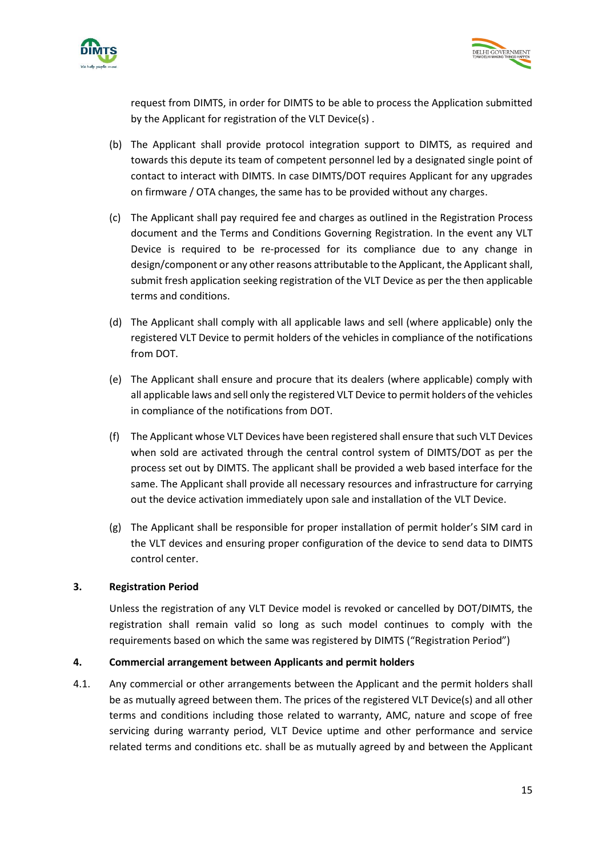



request from DIMTS, in order for DIMTS to be able to process the Application submitted by the Applicant for registration of the VLT Device(s) .

- (b) The Applicant shall provide protocol integration support to DIMTS, as required and towards this depute its team of competent personnel led by a designated single point of contact to interact with DIMTS. In case DIMTS/DOT requires Applicant for any upgrades on firmware / OTA changes, the same has to be provided without any charges.
- (c) The Applicant shall pay required fee and charges as outlined in the Registration Process document and the Terms and Conditions Governing Registration. In the event any VLT Device is required to be re-processed for its compliance due to any change in design/component or any other reasons attributable to the Applicant, the Applicant shall, submit fresh application seeking registration of the VLT Device as per the then applicable terms and conditions.
- (d) The Applicant shall comply with all applicable laws and sell (where applicable) only the registered VLT Device to permit holders of the vehicles in compliance of the notifications from DOT.
- (e) The Applicant shall ensure and procure that its dealers (where applicable) comply with all applicable laws and sell only the registered VLT Device to permit holders of the vehicles in compliance of the notifications from DOT.
- (f) The Applicant whose VLT Devices have been registered shall ensure that such VLT Devices when sold are activated through the central control system of DIMTS/DOT as per the process set out by DIMTS. The applicant shall be provided a web based interface for the same. The Applicant shall provide all necessary resources and infrastructure for carrying out the device activation immediately upon sale and installation of the VLT Device.
- (g) The Applicant shall be responsible for proper installation of permit holder's SIM card in the VLT devices and ensuring proper configuration of the device to send data to DIMTS control center.

# **3. Registration Period**

Unless the registration of any VLT Device model is revoked or cancelled by DOT/DIMTS, the registration shall remain valid so long as such model continues to comply with the requirements based on which the same was registered by DIMTS ("Registration Period")

#### **4. Commercial arrangement between Applicants and permit holders**

4.1. Any commercial or other arrangements between the Applicant and the permit holders shall be as mutually agreed between them. The prices of the registered VLT Device(s) and all other terms and conditions including those related to warranty, AMC, nature and scope of free servicing during warranty period, VLT Device uptime and other performance and service related terms and conditions etc. shall be as mutually agreed by and between the Applicant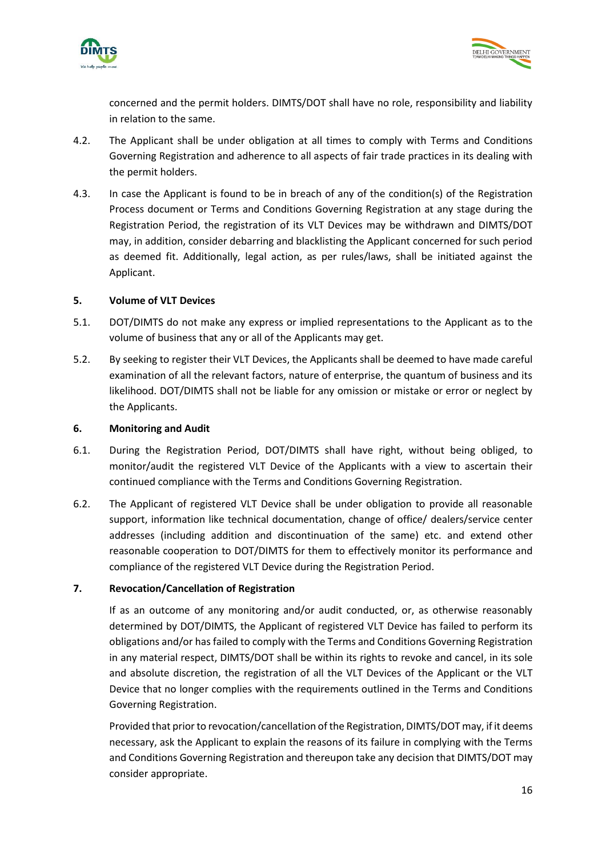



concerned and the permit holders. DIMTS/DOT shall have no role, responsibility and liability in relation to the same.

- 4.2. The Applicant shall be under obligation at all times to comply with Terms and Conditions Governing Registration and adherence to all aspects of fair trade practices in its dealing with the permit holders.
- 4.3. In case the Applicant is found to be in breach of any of the condition(s) of the Registration Process document or Terms and Conditions Governing Registration at any stage during the Registration Period, the registration of its VLT Devices may be withdrawn and DIMTS/DOT may, in addition, consider debarring and blacklisting the Applicant concerned for such period as deemed fit. Additionally, legal action, as per rules/laws, shall be initiated against the Applicant.

#### **5. Volume of VLT Devices**

- 5.1. DOT/DIMTS do not make any express or implied representations to the Applicant as to the volume of business that any or all of the Applicants may get.
- 5.2. By seeking to register their VLT Devices, the Applicants shall be deemed to have made careful examination of all the relevant factors, nature of enterprise, the quantum of business and its likelihood. DOT/DIMTS shall not be liable for any omission or mistake or error or neglect by the Applicants.

#### **6. Monitoring and Audit**

- 6.1. During the Registration Period, DOT/DIMTS shall have right, without being obliged, to monitor/audit the registered VLT Device of the Applicants with a view to ascertain their continued compliance with the Terms and Conditions Governing Registration.
- 6.2. The Applicant of registered VLT Device shall be under obligation to provide all reasonable support, information like technical documentation, change of office/ dealers/service center addresses (including addition and discontinuation of the same) etc. and extend other reasonable cooperation to DOT/DIMTS for them to effectively monitor its performance and compliance of the registered VLT Device during the Registration Period.

#### **7. Revocation/Cancellation of Registration**

If as an outcome of any monitoring and/or audit conducted, or, as otherwise reasonably determined by DOT/DIMTS, the Applicant of registered VLT Device has failed to perform its obligations and/or has failed to comply with the Terms and Conditions Governing Registration in any material respect, DIMTS/DOT shall be within its rights to revoke and cancel, in its sole and absolute discretion, the registration of all the VLT Devices of the Applicant or the VLT Device that no longer complies with the requirements outlined in the Terms and Conditions Governing Registration.

Provided that prior to revocation/cancellation of the Registration, DIMTS/DOT may, if it deems necessary, ask the Applicant to explain the reasons of its failure in complying with the Terms and Conditions Governing Registration and thereupon take any decision that DIMTS/DOT may consider appropriate.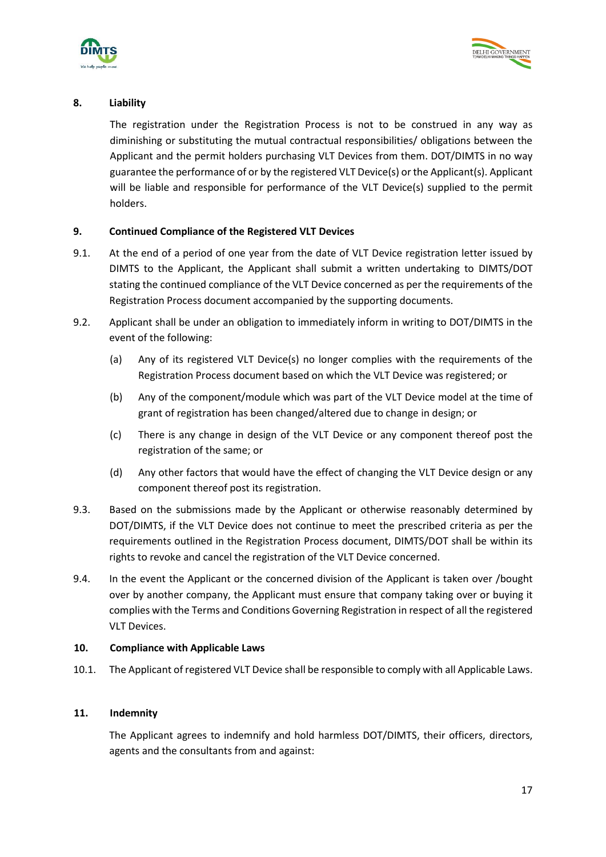



# **8. Liability**

The registration under the Registration Process is not to be construed in any way as diminishing or substituting the mutual contractual responsibilities/ obligations between the Applicant and the permit holders purchasing VLT Devices from them. DOT/DIMTS in no way guarantee the performance of or by the registered VLT Device(s) or the Applicant(s). Applicant will be liable and responsible for performance of the VLT Device(s) supplied to the permit holders.

# **9. Continued Compliance of the Registered VLT Devices**

- 9.1. At the end of a period of one year from the date of VLT Device registration letter issued by DIMTS to the Applicant, the Applicant shall submit a written undertaking to DIMTS/DOT stating the continued compliance of the VLT Device concerned as per the requirements of the Registration Process document accompanied by the supporting documents.
- 9.2. Applicant shall be under an obligation to immediately inform in writing to DOT/DIMTS in the event of the following:
	- (a) Any of its registered VLT Device(s) no longer complies with the requirements of the Registration Process document based on which the VLT Device was registered; or
	- (b) Any of the component/module which was part of the VLT Device model at the time of grant of registration has been changed/altered due to change in design; or
	- (c) There is any change in design of the VLT Device or any component thereof post the registration of the same; or
	- (d) Any other factors that would have the effect of changing the VLT Device design or any component thereof post its registration.
- 9.3. Based on the submissions made by the Applicant or otherwise reasonably determined by DOT/DIMTS, if the VLT Device does not continue to meet the prescribed criteria as per the requirements outlined in the Registration Process document, DIMTS/DOT shall be within its rights to revoke and cancel the registration of the VLT Device concerned.
- 9.4. In the event the Applicant or the concerned division of the Applicant is taken over /bought over by another company, the Applicant must ensure that company taking over or buying it complies with the Terms and Conditions Governing Registration in respect of all the registered VLT Devices.

# **10. Compliance with Applicable Laws**

10.1. The Applicant of registered VLT Device shall be responsible to comply with all Applicable Laws.

# **11. Indemnity**

The Applicant agrees to indemnify and hold harmless DOT/DIMTS, their officers, directors, agents and the consultants from and against: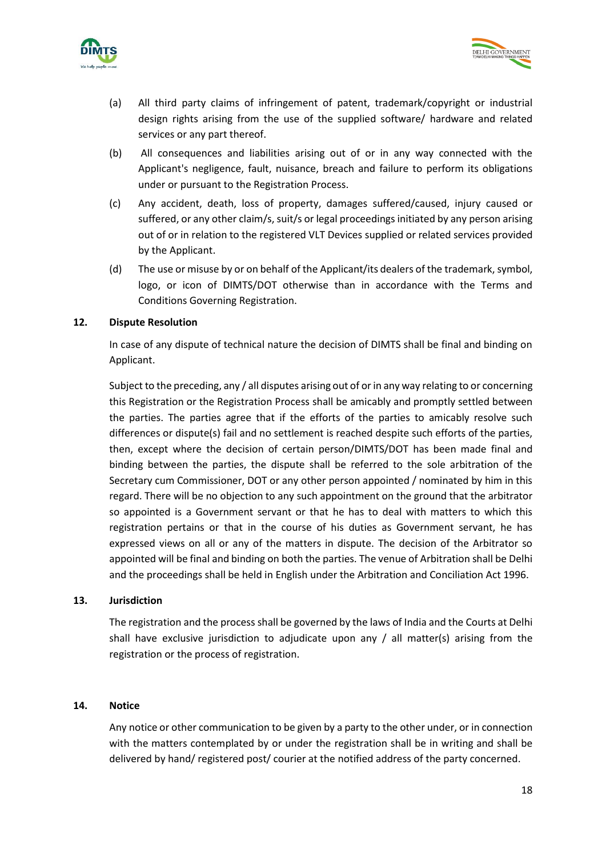



- (a) All third party claims of infringement of patent, trademark/copyright or industrial design rights arising from the use of the supplied software/ hardware and related services or any part thereof.
- (b) All consequences and liabilities arising out of or in any way connected with the Applicant's negligence, fault, nuisance, breach and failure to perform its obligations under or pursuant to the Registration Process.
- (c) Any accident, death, loss of property, damages suffered/caused, injury caused or suffered, or any other claim/s, suit/s or legal proceedings initiated by any person arising out of or in relation to the registered VLT Devices supplied or related services provided by the Applicant.
- (d) The use or misuse by or on behalf of the Applicant/its dealers of the trademark, symbol, logo, or icon of DIMTS/DOT otherwise than in accordance with the Terms and Conditions Governing Registration.

#### **12. Dispute Resolution**

In case of any dispute of technical nature the decision of DIMTS shall be final and binding on Applicant.

Subject to the preceding, any / all disputes arising out of or in any way relating to or concerning this Registration or the Registration Process shall be amicably and promptly settled between the parties. The parties agree that if the efforts of the parties to amicably resolve such differences or dispute(s) fail and no settlement is reached despite such efforts of the parties, then, except where the decision of certain person/DIMTS/DOT has been made final and binding between the parties, the dispute shall be referred to the sole arbitration of the Secretary cum Commissioner, DOT or any other person appointed / nominated by him in this regard. There will be no objection to any such appointment on the ground that the arbitrator so appointed is a Government servant or that he has to deal with matters to which this registration pertains or that in the course of his duties as Government servant, he has expressed views on all or any of the matters in dispute. The decision of the Arbitrator so appointed will be final and binding on both the parties. The venue of Arbitration shall be Delhi and the proceedings shall be held in English under the Arbitration and Conciliation Act 1996.

#### **13. Jurisdiction**

The registration and the process shall be governed by the laws of India and the Courts at Delhi shall have exclusive jurisdiction to adjudicate upon any  $/$  all matter(s) arising from the registration or the process of registration.

#### **14. Notice**

Any notice or other communication to be given by a party to the other under, or in connection with the matters contemplated by or under the registration shall be in writing and shall be delivered by hand/ registered post/ courier at the notified address of the party concerned.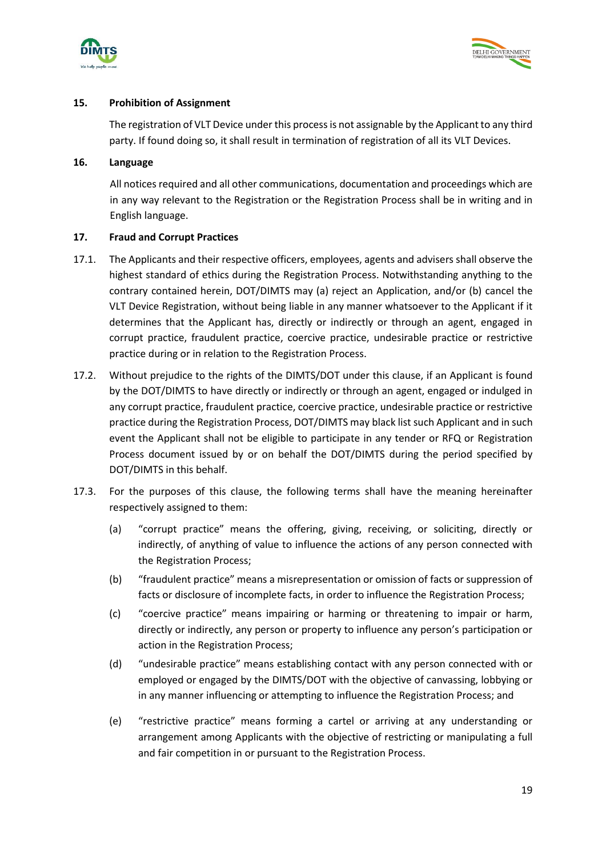



# **15. Prohibition of Assignment**

The registration of VLT Device under this process is not assignable by the Applicant to any third party. If found doing so, it shall result in termination of registration of all its VLT Devices.

#### **16. Language**

All notices required and all other communications, documentation and proceedings which are in any way relevant to the Registration or the Registration Process shall be in writing and in English language.

#### **17. Fraud and Corrupt Practices**

- 17.1. The Applicants and their respective officers, employees, agents and advisers shall observe the highest standard of ethics during the Registration Process. Notwithstanding anything to the contrary contained herein, DOT/DIMTS may (a) reject an Application, and/or (b) cancel the VLT Device Registration, without being liable in any manner whatsoever to the Applicant if it determines that the Applicant has, directly or indirectly or through an agent, engaged in corrupt practice, fraudulent practice, coercive practice, undesirable practice or restrictive practice during or in relation to the Registration Process.
- 17.2. Without prejudice to the rights of the DIMTS/DOT under this clause, if an Applicant is found by the DOT/DIMTS to have directly or indirectly or through an agent, engaged or indulged in any corrupt practice, fraudulent practice, coercive practice, undesirable practice or restrictive practice during the Registration Process, DOT/DIMTS may black list such Applicant and in such event the Applicant shall not be eligible to participate in any tender or RFQ or Registration Process document issued by or on behalf the DOT/DIMTS during the period specified by DOT/DIMTS in this behalf.
- 17.3. For the purposes of this clause, the following terms shall have the meaning hereinafter respectively assigned to them:
	- (a) "corrupt practice" means the offering, giving, receiving, or soliciting, directly or indirectly, of anything of value to influence the actions of any person connected with the Registration Process;
	- (b) "fraudulent practice" means a misrepresentation or omission of facts or suppression of facts or disclosure of incomplete facts, in order to influence the Registration Process;
	- (c) "coercive practice" means impairing or harming or threatening to impair or harm, directly or indirectly, any person or property to influence any person's participation or action in the Registration Process;
	- (d) "undesirable practice" means establishing contact with any person connected with or employed or engaged by the DIMTS/DOT with the objective of canvassing, lobbying or in any manner influencing or attempting to influence the Registration Process; and
	- (e) "restrictive practice" means forming a cartel or arriving at any understanding or arrangement among Applicants with the objective of restricting or manipulating a full and fair competition in or pursuant to the Registration Process.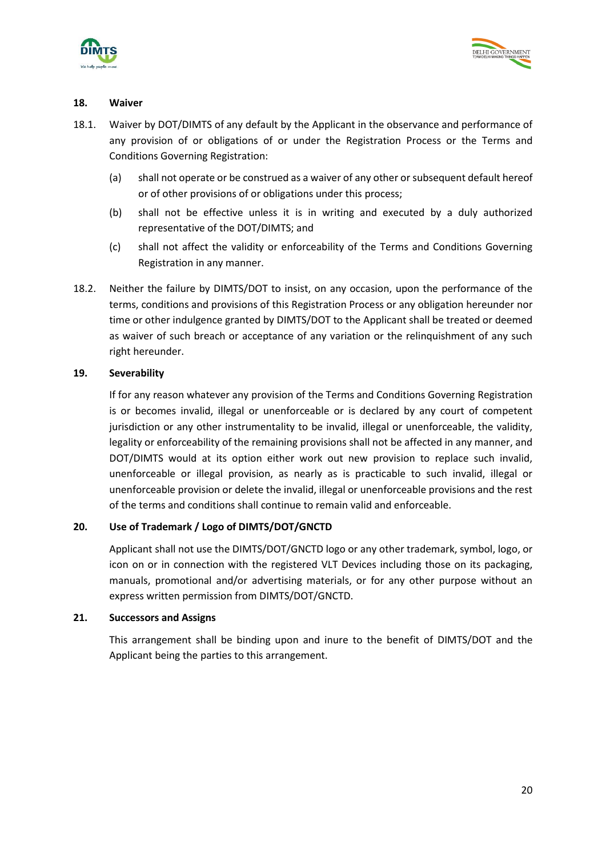



#### **18. Waiver**

- 18.1. Waiver by DOT/DIMTS of any default by the Applicant in the observance and performance of any provision of or obligations of or under the Registration Process or the Terms and Conditions Governing Registration:
	- (a) shall not operate or be construed as a waiver of any other or subsequent default hereof or of other provisions of or obligations under this process;
	- (b) shall not be effective unless it is in writing and executed by a duly authorized representative of the DOT/DIMTS; and
	- (c) shall not affect the validity or enforceability of the Terms and Conditions Governing Registration in any manner.
- 18.2. Neither the failure by DIMTS/DOT to insist, on any occasion, upon the performance of the terms, conditions and provisions of this Registration Process or any obligation hereunder nor time or other indulgence granted by DIMTS/DOT to the Applicant shall be treated or deemed as waiver of such breach or acceptance of any variation or the relinquishment of any such right hereunder.

#### **19. Severability**

If for any reason whatever any provision of the Terms and Conditions Governing Registration is or becomes invalid, illegal or unenforceable or is declared by any court of competent jurisdiction or any other instrumentality to be invalid, illegal or unenforceable, the validity, legality or enforceability of the remaining provisions shall not be affected in any manner, and DOT/DIMTS would at its option either work out new provision to replace such invalid, unenforceable or illegal provision, as nearly as is practicable to such invalid, illegal or unenforceable provision or delete the invalid, illegal or unenforceable provisions and the rest of the terms and conditions shall continue to remain valid and enforceable.

# **20. Use of Trademark / Logo of DIMTS/DOT/GNCTD**

Applicant shall not use the DIMTS/DOT/GNCTD logo or any other trademark, symbol, logo, or icon on or in connection with the registered VLT Devices including those on its packaging, manuals, promotional and/or advertising materials, or for any other purpose without an express written permission from DIMTS/DOT/GNCTD.

#### **21. Successors and Assigns**

This arrangement shall be binding upon and inure to the benefit of DIMTS/DOT and the Applicant being the parties to this arrangement.